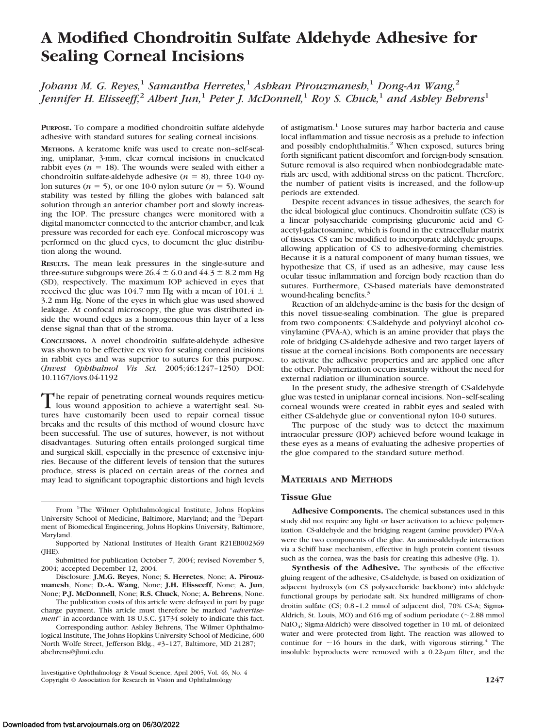# **A Modified Chondroitin Sulfate Aldehyde Adhesive for Sealing Corneal Incisions**

*Johann M. G. Reyes,*<sup>1</sup> *Samantha Herretes,*<sup>1</sup> *Ashkan Pirouzmanesh,*<sup>1</sup> *Dong-An Wang,*<sup>2</sup> *Jennifer H. Elisseeff*,<sup>2</sup> *Albert Jun*,<sup>1</sup> *Peter J. McDonnell*,<sup>1</sup> *Roy S. Chuck*,<sup>1</sup> *and Ashley Behrens*<sup>1</sup>

**PURPOSE.** To compare a modified chondroitin sulfate aldehyde adhesive with standard sutures for sealing corneal incisions.

**METHODS.** A keratome knife was used to create non–self-sealing, uniplanar, 3-mm, clear corneal incisions in enucleated rabbit eyes ( $n = 18$ ). The wounds were sealed with either a chondroitin sulfate-aldehyde adhesive  $(n = 8)$ , three 10-0 nylon sutures ( $n = 5$ ), or one 10-0 nylon suture ( $n = 5$ ). Wound stability was tested by filling the globes with balanced salt solution through an anterior chamber port and slowly increasing the IOP. The pressure changes were monitored with a digital manometer connected to the anterior chamber, and leak pressure was recorded for each eye. Confocal microscopy was performed on the glued eyes, to document the glue distribution along the wound.

**RESULTS.** The mean leak pressures in the single-suture and three-suture subgroups were  $26.4 \pm 6.0$  and  $44.3 \pm 8.2$  mm Hg (SD), respectively. The maximum IOP achieved in eyes that received the glue was 104.7 mm Hg with a mean of 101.4  $\pm$ 3.2 mm Hg. None of the eyes in which glue was used showed leakage. At confocal microscopy, the glue was distributed inside the wound edges as a homogeneous thin layer of a less dense signal than that of the stroma.

**CONCLUSIONS.** A novel chondroitin sulfate-aldehyde adhesive was shown to be effective ex vivo for sealing corneal incisions in rabbit eyes and was superior to sutures for this purpose. (*Invest Ophthalmol Vis Sci.* 2005;46:1247–1250) DOI: 10.1167/iovs.04-1192

The repair of penetrating corneal wounds requires meticu-<br>lous wound apposition to achieve a watertight seal. Sutures have customarily been used to repair corneal tissue breaks and the results of this method of wound closure have been successful. The use of sutures, however, is not without disadvantages. Suturing often entails prolonged surgical time and surgical skill, especially in the presence of extensive injuries. Because of the different levels of tension that the sutures produce, stress is placed on certain areas of the cornea and may lead to significant topographic distortions and high levels

The publication costs of this article were defrayed in part by page charge payment. This article must therefore be marked "*advertisement*" in accordance with 18 U.S.C. §1734 solely to indicate this fact.

Corresponding author: Ashley Behrens, The Wilmer Ophthalmological Institute, The Johns Hopkins University School of Medicine, 600 North Wolfe Street, Jefferson Bldg., #3–127, Baltimore, MD 21287; abehrens@jhmi.edu.

Investigative Ophthalmology & Visual Science, April 2005, Vol. 46, No. 4 Copyright © Association for Research in Vision and Ophthalmology **1247**

of astigmatism.1 Loose sutures may harbor bacteria and cause local inflammation and tissue necrosis as a prelude to infection and possibly endophthalmitis.<sup>2</sup> When exposed, sutures bring forth significant patient discomfort and foreign-body sensation. Suture removal is also required when nonbiodegradable materials are used, with additional stress on the patient. Therefore, the number of patient visits is increased, and the follow-up periods are extended.

Despite recent advances in tissue adhesives, the search for the ideal biological glue continues. Chondroitin sulfate (CS) is a linear polysaccharide comprising glucuronic acid and Cacetyl-galactosamine, which is found in the extracellular matrix of tissues*.* CS can be modified to incorporate aldehyde groups, allowing application of CS to adhesive-forming chemistries. Because it is a natural component of many human tissues, we hypothesize that CS, if used as an adhesive, may cause less ocular tissue inflammation and foreign body reaction than do sutures. Furthermore, CS-based materials have demonstrated wound-healing benefits.<sup>3</sup>

Reaction of an aldehyde-amine is the basis for the design of this novel tissue-sealing combination. The glue is prepared from two components: CS-aldehyde and polyvinyl alcohol covinylamine (PVA-A), which is an amine provider that plays the role of bridging CS-aldehyde adhesive and two target layers of tissue at the corneal incisions. Both components are necessary to activate the adhesive properties and are applied one after the other. Polymerization occurs instantly without the need for external radiation or illumination source.

In the present study, the adhesive strength of CS-aldehyde glue was tested in uniplanar corneal incisions. Non–self-sealing corneal wounds were created in rabbit eyes and sealed with either CS-aldehyde glue or conventional nylon 10-0 sutures.

The purpose of the study was to detect the maximum intraocular pressure (IOP) achieved before wound leakage in these eyes as a means of evaluating the adhesive properties of the glue compared to the standard suture method.

## **MATERIALS AND METHODS**

#### **Tissue Glue**

**Adhesive Components.** The chemical substances used in this study did not require any light or laser activation to achieve polymerization. CS-aldehyde and the bridging reagent (amine provider) PVA-A were the two components of the glue. An amine-aldehyde interaction via a Schiff base mechanism, effective in high protein content tissues such as the cornea, was the basis for creating this adhesive (Fig. 1).

**Synthesis of the Adhesive.** The synthesis of the effective gluing reagent of the adhesive, CS-aldehyde, is based on oxidization of adjacent hydroxyls (on CS polysaccharide backbone) into aldehyde functional groups by periodate salt. Six hundred milligrams of chondroitin sulfate (CS; 0.8 –1.2 mmol of adjacent diol, 70% CS-A; Sigma-Aldrich, St. Louis, MO) and 616 mg of sodium periodate  $(\sim 2.88 \text{ mmol})$ NaIO<sub>4</sub>; Sigma-Aldrich) were dissolved together in 10 mL of deionized water and were protected from light. The reaction was allowed to continue for  $\sim$ 16 hours in the dark, with vigorous stirring.<sup>4</sup> The insoluble byproducts were removed with a  $0.22$ - $\mu$ m filter, and the

From <sup>1</sup>The Wilmer Ophthalmological Institute, Johns Hopkins University School of Medicine, Baltimore, Maryland; and the <sup>2</sup>Department of Biomedical Engineering, Johns Hopkins University, Baltimore, Maryland.

Supported by National Institutes of Health Grant R21EB002369 (JHE).

Submitted for publication October 7, 2004; revised November 5, 2004; accepted December 12, 2004.

Disclosure: **J.M.G. Reyes**, None; **S. Herretes**, None; **A. Pirouzmanesh**, None; **D.-A. Wang**, None; **J.H. Elisseeff**, None; **A. Jun**, None; **P.J. McDonnell**, None; **R.S. Chuck**, None; **A. Behrens**, None.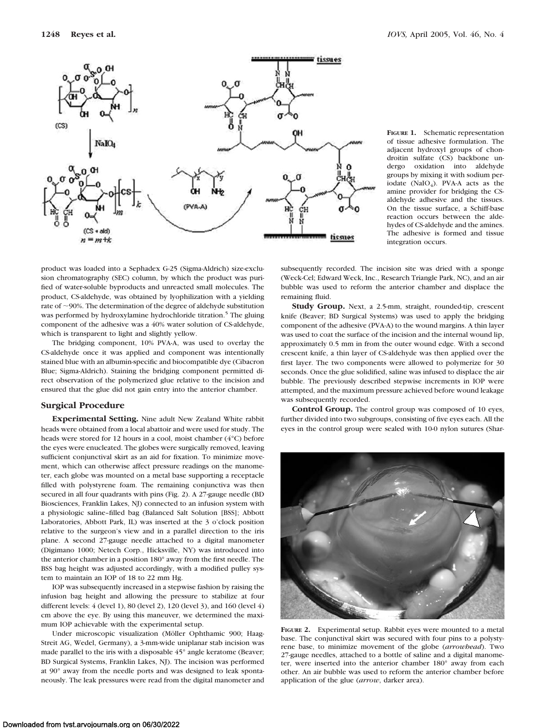

**FIGURE 1.** Schematic representation of tissue adhesive formulation. The adjacent hydroxyl groups of chondroitin sulfate (CS) backbone undergo oxidation into aldehyde groups by mixing it with sodium periodate (NaIO<sub>4</sub>). PVA-A acts as the amine provider for bridging the CSaldehyde adhesive and the tissues. On the tissue surface, a Schiff-base reaction occurs between the aldehydes of CS-aldehyde and the amines. The adhesive is formed and tissue integration occurs.

product was loaded into a Sephadex G-25 (Sigma-Aldrich) size-exclusion chromatography (SEC) column, by which the product was purified of water-soluble byproducts and unreacted small molecules. The product, CS-aldehyde, was obtained by lyophilization with a yielding rate of  $\sim$ 90%. The determination of the degree of aldehyde substitution was performed by hydroxylamine hydrochloride titration.<sup>5</sup> The gluing component of the adhesive was a 40% water solution of CS-aldehyde, which is transparent to light and slightly yellow.

The bridging component, 10% PVA-A, was used to overlay the CS-aldehyde once it was applied and component was intentionally stained blue with an albumin-specific and biocompatible dye (Cibacron Blue; Sigma-Aldrich). Staining the bridging component permitted direct observation of the polymerized glue relative to the incision and ensured that the glue did not gain entry into the anterior chamber.

## **Surgical Procedure**

**Experimental Setting.** Nine adult New Zealand White rabbit heads were obtained from a local abattoir and were used for study. The heads were stored for 12 hours in a cool, moist chamber (4°C) before the eyes were enucleated. The globes were surgically removed, leaving sufficient conjunctival skirt as an aid for fixation. To minimize movement, which can otherwise affect pressure readings on the manometer, each globe was mounted on a metal base supporting a receptacle filled with polystyrene foam. The remaining conjunctiva was then secured in all four quadrants with pins (Fig. 2). A 27-gauge needle (BD Biosciences, Franklin Lakes, NJ) connected to an infusion system with a physiologic saline–filled bag (Balanced Salt Solution [BSS]; Abbott Laboratories, Abbott Park, IL) was inserted at the 3 o'clock position relative to the surgeon's view and in a parallel direction to the iris plane. A second 27-gauge needle attached to a digital manometer (Digimano 1000; Netech Corp., Hicksville, NY) was introduced into the anterior chamber in a position 180° away from the first needle. The BSS bag height was adjusted accordingly, with a modified pulley system to maintain an IOP of 18 to 22 mm Hg.

IOP was subsequently increased in a stepwise fashion by raising the infusion bag height and allowing the pressure to stabilize at four different levels: 4 (level 1), 80 (level 2), 120 (level 3), and 160 (level 4) cm above the eye. By using this maneuver, we determined the maximum IOP achievable with the experimental setup.

Under microscopic visualization (Möller Ophthamic 900; Haag-Streit AG, Wedel, Germany), a 3-mm-wide uniplanar stab incision was made parallel to the iris with a disposable 45° angle keratome (Beaver; BD Surgical Systems, Franklin Lakes, NJ). The incision was performed at 90° away from the needle ports and was designed to leak spontaneously. The leak pressures were read from the digital manometer and

subsequently recorded. The incision site was dried with a sponge (Weck-Cel; Edward Weck, Inc., Research Triangle Park, NC), and an air bubble was used to reform the anterior chamber and displace the remaining fluid.

**Study Group.** Next, a 2.5-mm, straight, rounded-tip, crescent knife (Beaver; BD Surgical Systems) was used to apply the bridging component of the adhesive (PVA-A) to the wound margins. A thin layer was used to coat the surface of the incision and the internal wound lip, approximately 0.5 mm in from the outer wound edge. With a second crescent knife, a thin layer of CS-aldehyde was then applied over the first layer. The two components were allowed to polymerize for 30 seconds. Once the glue solidified, saline was infused to displace the air bubble. The previously described stepwise increments in IOP were attempted, and the maximum pressure achieved before wound leakage was subsequently recorded.

**Control Group.** The control group was composed of 10 eyes, further divided into two subgroups, consisting of five eyes each. All the eyes in the control group were sealed with 10-0 nylon sutures (Shar-



**FIGURE 2.** Experimental setup. Rabbit eyes were mounted to a metal base. The conjunctival skirt was secured with four pins to a polystyrene base, to minimize movement of the globe (*arrowhead*). Two 27-gauge needles, attached to a bottle of saline and a digital manometer, were inserted into the anterior chamber 180° away from each other. An air bubble was used to reform the anterior chamber before application of the glue (*arrow*, darker area).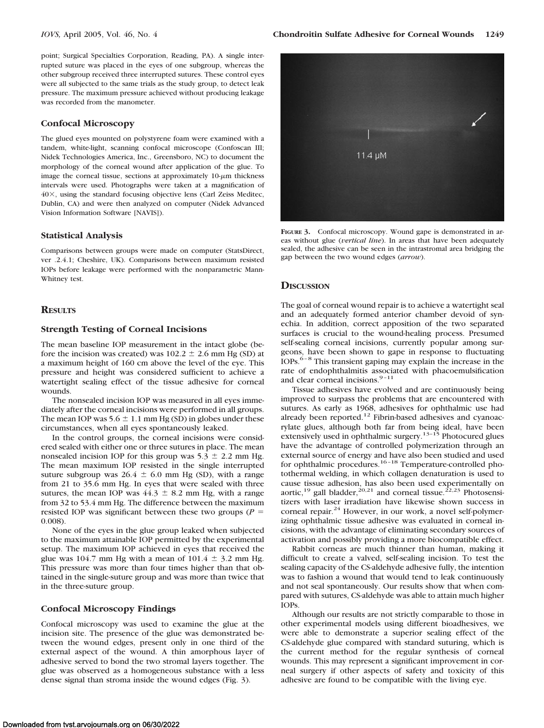point; Surgical Specialties Corporation, Reading, PA). A single interrupted suture was placed in the eyes of one subgroup, whereas the other subgroup received three interrupted sutures. These control eyes were all subjected to the same trials as the study group, to detect leak pressure. The maximum pressure achieved without producing leakage was recorded from the manometer.

## **Confocal Microscopy**

The glued eyes mounted on polystyrene foam were examined with a tandem, white-light, scanning confocal microscope (Confoscan III; Nidek Technologies America, Inc., Greensboro, NC) to document the morphology of the corneal wound after application of the glue. To image the corneal tissue, sections at approximately  $10-\mu m$  thickness intervals were used. Photographs were taken at a magnification of  $40\times$ , using the standard focusing objective lens (Carl Zeiss Meditec, Dublin, CA) and were then analyzed on computer (Nidek Advanced Vision Information Software [NAVIS]).

#### **Statistical Analysis**

Comparisons between groups were made on computer (StatsDirect, ver .2.4.1; Cheshire, UK). Comparisons between maximum resisted IOPs before leakage were performed with the nonparametric Mann-Whitney test.

#### **RESULTS**

#### **Strength Testing of Corneal Incisions**

The mean baseline IOP measurement in the intact globe (before the incision was created) was  $102.2 \pm 2.6$  mm Hg (SD) at a maximum height of 160 cm above the level of the eye. This pressure and height was considered sufficient to achieve a watertight sealing effect of the tissue adhesive for corneal wounds.

The nonsealed incision IOP was measured in all eyes immediately after the corneal incisions were performed in all groups. The mean IOP was  $5.6 \pm 1.1$  mm Hg (SD) in globes under these circumstances, when all eyes spontaneously leaked.

In the control groups, the corneal incisions were considered sealed with either one or three sutures in place. The mean nonsealed incision IOP for this group was  $5.3 \pm 2.2$  mm Hg. The mean maximum IOP resisted in the single interrupted suture subgroup was  $26.4 \pm 6.0$  mm Hg (SD), with a range from 21 to 35.6 mm Hg. In eyes that were sealed with three sutures, the mean IOP was  $44.3 \pm 8.2$  mm Hg, with a range from 32 to 53.4 mm Hg. The difference between the maximum resisted IOP was significant between these two groups ( $P =$ 0.008).

None of the eyes in the glue group leaked when subjected to the maximum attainable IOP permitted by the experimental setup. The maximum IOP achieved in eyes that received the glue was 104.7 mm Hg with a mean of  $101.4 \pm 3.2$  mm Hg. This pressure was more than four times higher than that obtained in the single-suture group and was more than twice that in the three-suture group.

#### **Confocal Microscopy Findings**

Confocal microscopy was used to examine the glue at the incision site. The presence of the glue was demonstrated between the wound edges, present only in one third of the external aspect of the wound. A thin amorphous layer of adhesive served to bond the two stromal layers together. The glue was observed as a homogeneous substance with a less dense signal than stroma inside the wound edges (Fig. 3).



**FIGURE 3.** Confocal microscopy. Wound gape is demonstrated in areas without glue (*vertical line*). In areas that have been adequately sealed, the adhesive can be seen in the intrastromal area bridging the gap between the two wound edges (*arrow*).

#### **DISCUSSION**

The goal of corneal wound repair is to achieve a watertight seal and an adequately formed anterior chamber devoid of synechia. In addition, correct apposition of the two separated surfaces is crucial to the wound-healing process. Presumed self-sealing corneal incisions, currently popular among surgeons, have been shown to gape in response to fluctuating IOPs.6–8 This transient gaping may explain the increase in the rate of endophthalmitis associated with phacoemulsification and clear corneal incisions. $9-11$ 

Tissue adhesives have evolved and are continuously being improved to surpass the problems that are encountered with sutures. As early as 1968, adhesives for ophthalmic use had already been reported.<sup>12</sup> Fibrin-based adhesives and cyanoacrylate glues, although both far from being ideal, have been extensively used in ophthalmic surgery.<sup>13–15</sup> Photocured glues have the advantage of controlled polymerization through an external source of energy and have also been studied and used for ophthalmic procedures.<sup>16-18</sup> Temperature-controlled photothermal welding, in which collagen denaturation is used to cause tissue adhesion, has also been used experimentally on aortic,<sup>19</sup> gall bladder,<sup>20,21</sup> and corneal tissue.<sup>22,23</sup> Photosensitizers with laser irradiation have likewise shown success in corneal repair.<sup>24</sup> However, in our work, a novel self-polymerizing ophthalmic tissue adhesive was evaluated in corneal incisions, with the advantage of eliminating secondary sources of activation and possibly providing a more biocompatible effect.

Rabbit corneas are much thinner than human, making it difficult to create a valved, self-sealing incision. To test the sealing capacity of the CS-aldehyde adhesive fully, the intention was to fashion a wound that would tend to leak continuously and not seal spontaneously. Our results show that when compared with sutures, CS-aldehyde was able to attain much higher IOPs.

Although our results are not strictly comparable to those in other experimental models using different bioadhesives, we were able to demonstrate a superior sealing effect of the CS-aldehyde glue compared with standard suturing, which is the current method for the regular synthesis of corneal wounds. This may represent a significant improvement in corneal surgery if other aspects of safety and toxicity of this adhesive are found to be compatible with the living eye.